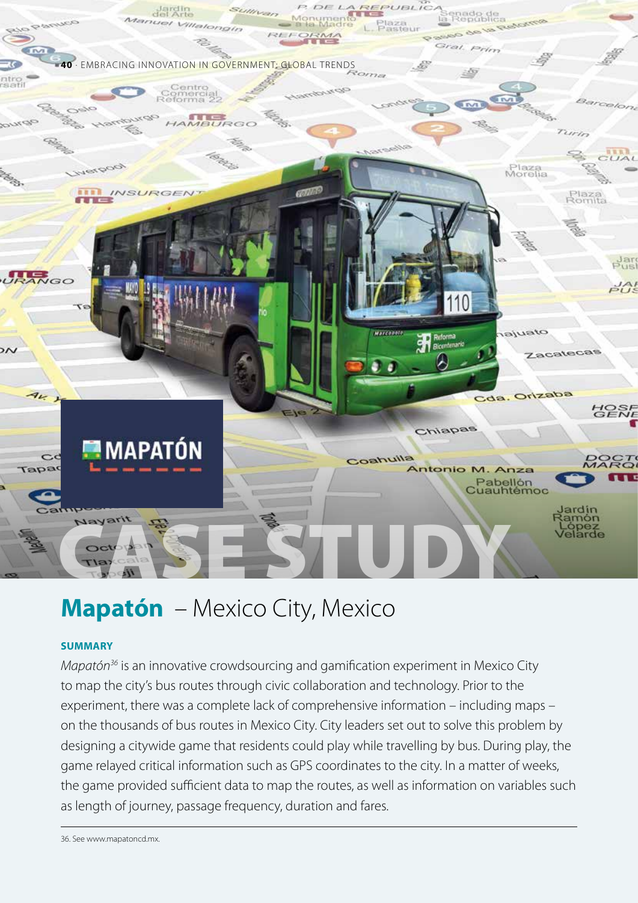

# **Mapatón** – Mexico City, Mexico

# **SUMMARY**

*Mapatón36* is an innovative crowdsourcing and gamification experiment in Mexico City to map the city's bus routes through civic collaboration and technology. Prior to the experiment, there was a complete lack of comprehensive information – including maps – on the thousands of bus routes in Mexico City. City leaders set out to solve this problem by designing a citywide game that residents could play while travelling by bus. During play, the game relayed critical information such as GPS coordinates to the city. In a matter of weeks, the game provided sufficient data to map the routes, as well as information on variables such as length of journey, passage frequency, duration and fares.

36. See www.mapatoncd.mx.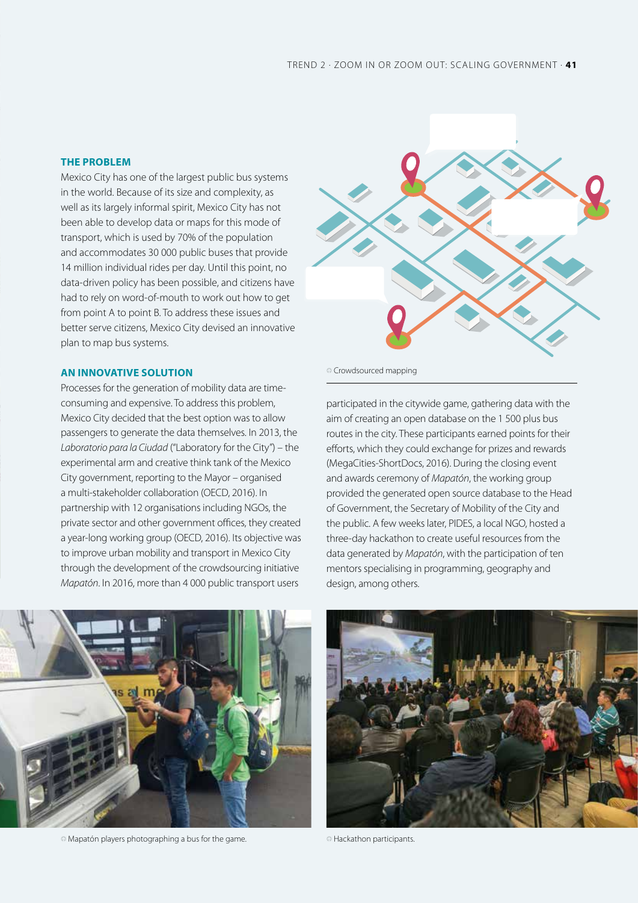# **THE PROBLEM**

Mexico City has one of the largest public bus systems in the world. Because of its size and complexity, as well as its largely informal spirit, Mexico City has not been able to develop data or maps for this mode of transport, which is used by 70% of the population and accommodates 30 000 public buses that provide 14 million individual rides per day. Until this point, no data-driven policy has been possible, and citizens have had to rely on word-of-mouth to work out how to get from point A to point B. To address these issues and better serve citizens, Mexico City devised an innovative plan to map bus systems.

# **AN INNOVATIVE SOLUTION**

Processes for the generation of mobility data are timeconsuming and expensive. To address this problem, Mexico City decided that the best option was to allow passengers to generate the data themselves. In 2013, the *Laboratorio para la Ciudad* ("Laboratory for the City") – the experimental arm and creative think tank of the Mexico City government, reporting to the Mayor – organised a multi-stakeholder collaboration (OECD, 2016). In partnership with 12 organisations including NGOs, the private sector and other government offices, they created a year-long working group (OECD, 2016). Its objective was to improve urban mobility and transport in Mexico City through the development of the crowdsourcing initiative *Mapatón*. In 2016, more than 4 000 public transport users



 $\circ$  Crowdsourced mapping

participated in the citywide game, gathering data with the aim of creating an open database on the 1 500 plus bus routes in the city. These participants earned points for their efforts, which they could exchange for prizes and rewards (MegaCities-ShortDocs, 2016). During the closing event and awards ceremony of *Mapatón*, the working group provided the generated open source database to the Head of Government, the Secretary of Mobility of the City and the public. A few weeks later, PIDES, a local NGO, hosted a three-day hackathon to create useful resources from the data generated by *Mapatón*, with the participation of ten mentors specialising in programming, geography and design, among others.



 $\circ$  Mapatón players photographing a bus for the game.  $\circ$  Hackathon participants.